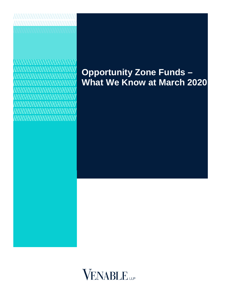# **Opportunity Zone Funds – What We Know at March 2020**

,,,,,,,,,,,,,,,,,,,,,,,,,,,,,,,,,,,,,

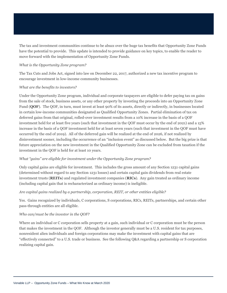The tax and investment communities continue to be abuzz over the huge tax benefits that Opportunity Zone Funds have the potential to provide. This update is intended to provide guidance on key topics, to enable the reader to move forward with the implementation of Opportunity Zone Funds.

## *What is the Opportunity Zone program?*

The Tax Cuts and Jobs Act, signed into law on December 22, 2017, authorized a new tax incentive program to encourage investment in low-income community businesses.

## *What are the benefits to investors?*

Under the Opportunity Zone program, individual and corporate taxpayers are eligible to defer paying tax on gains from the sale of stock, business assets, or any other property by investing the proceeds into an Opportunity Zone Fund (**QOF**). The QOF, in turn, must invest at least 90% of its assets, directly or indirectly, in businesses located in certain low-income communities designated as Qualified Opportunity Zones. Partial elimination of tax on deferred gains from that original, rolled-over investment results from a 10% increase in the basis of a QOF investment held for at least five years (such that investment in the QOF must occur by the end of 2021) and a 15% increase in the basis of a QOF investment held for at least seven years (such that investment in the QOF must have occurred by the end of 2019). All of the deferred gain will be realized at the end of 2026, if not realized by disinvestment sooner, including the occurrence of an "inclusion event" as discussed below. But the big prize is that future appreciation on the new investment in the Qualified Opportunity Zone can be excluded from taxation if the investment in the QOF is held for at least 10 years.

# *What "gains" are eligible for investment under the Opportunity Zone program?*

Only capital gains are eligible for investment. This includes the gross amount of any Section 1231 capital gains (determined without regard to any Section 1231 losses) and certain capital gain dividends from real estate investment trusts (**REITs**) and regulated investment companies (**RICs**). Any gain treated as ordinary income (including capital gain that is recharacterized as ordinary income) is ineligible.

## *Are capital gains realized by a partnership, corporation, REIT, or other entities eligible?*

Yes. Gains recognized by individuals, C corporations, S corporations, RICs, REITs, partnerships, and certain other pass-through entities are all eligible.

## *Who can/must be the investor in the QOF?*

Where an individual or C corporation sells property at a gain, such individual or C corporation must be the person that makes the investment in the QOF. Although the investor generally must be a U.S. resident for tax purposes, nonresident alien individuals and foreign corporations may make the investment with capital gains that are "effectively connected" to a U.S. trade or business. See the following Q&A regarding a partnership or S corporation realizing capital gain.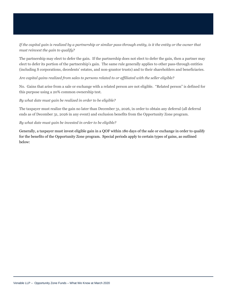# *If the capital gain is realized by a partnership or similar pass-through entity, is it the entity or the owner that must reinvest the gain to qualify?*

The partnership may elect to defer the gain. If the partnership does not elect to defer the gain, then a partner may elect to defer its portion of the partnership's gain. The same rule generally applies to other pass-through entities (including S corporations, decedents' estates, and non-grantor trusts) and to their shareholders and beneficiaries.

# *Are capital gains realized from sales to persons related to or affiliated with the seller eligible?*

No. Gains that arise from a sale or exchange with a related person are not eligible. "Related person" is defined for this purpose using a 20% common ownership test.

## *By what date must gain be realized in order to be eligible?*

The taxpayer must realize the gain no later than December 31, 2026, in order to obtain any deferral (all deferral ends as of December 31, 2026 in any event) and exclusion benefits from the Opportunity Zone program.

## *By what date must gain be invested in order to be eligible?*

Generally, a taxpayer must invest eligible gain in a QOF within 180 days of the sale or exchange in order to qualify for the benefits of the Opportunity Zone program. Special periods apply to certain types of gains, as outlined below: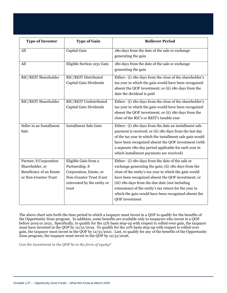| <b>Type of Investor</b>                                                                       | <b>Type of Gain</b>                                                                                                                   | <b>Rollover Period</b>                                                                                                                                                                                                                                                                                                                                                                                           |
|-----------------------------------------------------------------------------------------------|---------------------------------------------------------------------------------------------------------------------------------------|------------------------------------------------------------------------------------------------------------------------------------------------------------------------------------------------------------------------------------------------------------------------------------------------------------------------------------------------------------------------------------------------------------------|
| All                                                                                           | Capital Gain                                                                                                                          | 180 days from the date of the sale or exchange<br>generating the gain                                                                                                                                                                                                                                                                                                                                            |
| All                                                                                           | Eligible Section 1231 Gain                                                                                                            | 180 days from the date of the sale or exchange<br>generating the gain                                                                                                                                                                                                                                                                                                                                            |
| RIC/REIT Shareholder                                                                          | RIC/REIT Distributed<br>Capital Gain Dividends                                                                                        | Either: (i) 180 days from the close of the shareholder's<br>tax year in which the gain would have been recognized<br>absent the QOF investment; or (ii) 180 days from the<br>date the dividend is paid                                                                                                                                                                                                           |
| <b>RIC/REIT Shareholder</b>                                                                   | RIC/REIT Undistributed<br>Capital Gain Dividends                                                                                      | Either: (i) 180 days from the close of the shareholder's<br>tax year in which the gain would have been recognized<br>absent the QOF investment; or (ii) 180 days from the<br>close of the RIC's or REIT's taxable year                                                                                                                                                                                           |
| Seller in an Installment<br>Sale                                                              | <b>Installment Sale Gain</b>                                                                                                          | Either: (i) 180 days from the date an installment sale<br>payment is received; or (ii) 180 days from the last day<br>of the tax year in which the installment sale gain would<br>have been recognized absent the QOF investment (with<br>a separate 180-day period applicable for each year in<br>which installment payments are received)                                                                       |
| Partner, S Corporation<br>Shareholder, or<br>Beneficiary of an Estate<br>or Non-Grantor Trust | Eligible Gain from a<br>Partnership, S<br>Corporation, Estate, or<br>Non-Grantor Trust if not<br>reinvested by the entity or<br>trust | Either: (i) 180 days from the date of the sale or<br>exchange generating the gain; (ii) 180 days from the<br>close of the entity's tax year in which the gain would<br>have been recognized absent the QOF investment; or<br>(iii) 180 days from the due date (not including<br>extensions) of the entity's tax return for the year in<br>which the gain would have been recognized absent the<br>QOF investment |

The above chart sets forth the time period in which a taxpayer must invest in a QOF to qualify for the benefits of the Opportunity Zone program. In addition, some benefits are available only to taxpayers who invest in a QOF before 2019 or 2021. Specifically, to qualify for the 15% basis step-up with respect to rolled-over gain, the taxpayer must have invested in the QOF by 12/31/2019. To qualify for the 10% basis step-up with respect to rolled-over gain, the taxpayer must invest in the QOF by 12/31/2021. Last, to qualify for any of the benefits of the Opportunity Zone program, the taxpayer must invest in the QOF by 12/31/2026.

*Can the investment in the QOF be in the form of equity?*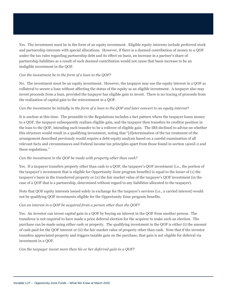Yes. The investment must be in the form of an equity investment. Eligible equity interests include preferred stock and partnership interests with special allocations. However, if there is a deemed contribution of money to a QOF under the tax rules regarding partnership debt and its effect on basis, an increase in a partner's share of partnership liabilities as a result of such deemed contribution would not cause that basis increase to be an ineligible investment in the QOF.

# *Can the investment be in the form of a loan to the QOF?*

No. The investment must be an equity investment. However, the taxpayer may use the equity interest in a QOF as collateral to secure a loan without affecting the status of the equity as an eligible investment. A taxpayer also may invest proceeds from a loan, provided the taxpayer has eligible gain to invest. There is no tracing of proceeds from the realization of capital gain to the reinvestment in a QOF.

## *Can the investment be initially in the form of a loan to the QOF and later convert to an equity interest?*

It is unclear at this time. The preamble to the Regulations includes a fact pattern where the taxpayer loans money to a QOF, the taxpayer subsequently realizes eligible gain, and the taxpayer then transfers its creditor position in the loan to the QOF, intending such transfer to be a rollover of eligible gain. The IRS declined to advise on whether this structure would result in a qualifying investment, noting that "[d]etermination of the tax treatment of the arrangement described previously would require a debt-equity analysis based on a careful examination of all relevant facts and circumstances and Federal income tax principles apart from those found in section 1400Z-2 and these regulations."

# *Can the investment in the QOF be made with property other than cash?*

Yes. If a taxpayer transfers property other than cash to a QOF, the taxpayer's QOF investment (i.e., the portion of the taxpayer's investment that is eligible for Opportunity Zone program benefits) is equal to the lesser of (1) the taxpayer's basis in the transferred property or (2) the fair market value of the taxpayer's QOF investment (in the case of a QOF that is a partnership, determined without regard to any liabilities allocated to the taxpayer).

Note that QOF equity interests issued solely in exchange for the taxpayer's services (i.e., a carried interest) would not be qualifying QOF investments eligible for the Opportunity Zone program benefits.

## *Can an interest in a QOF be acquired from a person other than the QOF?*

Yes. An investor can invest capital gain in a QOF by buying an interest in the QOF from another person. The transferor is not required to have made a prior deferral election for the acquirer to make such an election. The purchase can be made using either cash or property. The qualifying investment in the QOF is either (i) the amount of cash paid for the QOF interest or (ii) the fair market value of property other than cash. Note that if the investor transfers appreciated property and triggers taxable gain on the purchase, that gain is not eligible for deferral via investment in a QOF.

## *Can the taxpayer invest more than his or her deferred gain in a QOF?*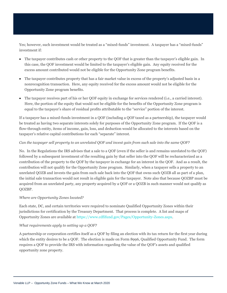Yes; however, such investment would be treated as a "mixed-funds" investment. A taxpayer has a "mixed-funds" investment if:

- The taxpayer contributes cash or other property to the QOF that is greater than the taxpayer's eligible gain. In this case, the QOF investment would be limited to the taxpayer's eligible gain. Any equity received for the excess amount contributed would not be eligible for the Opportunity Zone program benefits.
- The taxpayer contributes property that has a fair market value in excess of the property's adjusted basis in a nonrecognition transaction. Here, any equity received for the excess amount would not be eligible for the Opportunity Zone program benefits.
- The taxpayer receives part of his or her QOF equity in exchange for services rendered (i.e., a carried interest). Here, the portion of the equity that would not be eligible for the benefits of the Opportunity Zone program is equal to the taxpayer's share of residual profits attributable to the "service" portion of the interest.

If a taxpayer has a mixed-funds investment in a QOF (including a QOF taxed as a partnership), the taxpayer would be treated as having two separate interests solely for purposes of the Opportunity Zone program. If the QOF is a flow-through entity, items of income, gain, loss, and deduction would be allocated to the interests based on the taxpayer's relative capital contributions for each "separate" interest.

# *Can the taxpayer sell property to an unrelated QOF and invest gain from such sale into the same QOF?*

No. In the Regulations the IRS advises that a sale to a QOF (even if the seller is and remains unrelated to the QOF) followed by a subsequent investment of the resulting gain by that seller into the QOF will be recharacterized as a contribution of the property to the QOF by the taxpayer in exchange for an interest in the QOF. And as a result, the contribution will not qualify for the Opportunity Zone program. Similarly, when a taxpayer sells a property to an unrelated QOZB and invests the gain from such sale back into the QOF that owns such QOZB all as part of a plan, the initial sale transaction would not result in eligible gain for the taxpayer. Note also that because QOZBP must be acquired from an unrelated party, any property acquired by a QOF or a QOZB in such manner would not qualify as QOZBP.

## *Where are Opportunity Zones located?*

Each state, DC, and certain territories were required to nominate Qualified Opportunity Zones within their jurisdictions for certification by the Treasury Department. That process is complete. A list and maps of Opportunity Zones are available at [https://www.cdfifund.gov/Pages/Opportunity-Zones.aspx.](https://www.cdfifund.gov/Pages/Opportunity-Zones.aspx)

## *What requirements apply to setting up a QOF?*

A partnership or corporation certifies itself as a QOF by filing an election with its tax return for the first year during which the entity desires to be a QOF. The election is made on Form 8996, Qualified Opportunity Fund. The form requires a QOF to provide the IRS with information regarding the value of the QOF's assets and qualified opportunity zone property.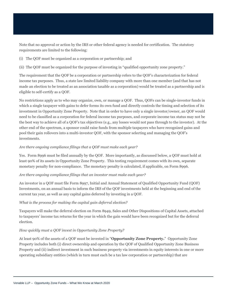Note that no approval or action by the IRS or other federal agency is needed for certification. The statutory requirements are limited to the following:

- (i) The QOF must be organized as a corporation or partnership; and
- (ii) The QOF must be organized for the purpose of investing in "qualified opportunity zone property."

The requirement that the QOF be a corporation or partnership refers to the QOF's characterization for federal income tax purposes. Thus, a state law limited liability company with more than one member (and that has not made an election to be treated as an association taxable as a corporation) would be treated as a partnership and is eligible to self-certify as a QOF.

No restrictions apply as to who may organize, own, or manage a QOF. Thus, QOFs can be single-investor funds in which a single taxpayer with gains to defer forms its own fund and directly controls the timing and selection of its investment in Opportunity Zone Property. Note that in order to have only a single investor/owner, an QOF would need to be classified as a corporation for federal income tax purposes, and corporate income tax status may not be the best way to achieve all of a QOF's tax objectives (e.g., any losses would not pass through to the investor). At the other end of the spectrum, a sponsor could raise funds from multiple taxpayers who have recognized gains and pool their gain rollovers into a multi-investor QOF, with the sponsor selecting and managing the QOF's investments.

## *Are there ongoing compliance filings that a QOF must make each year?*

Yes. Form 8996 must be filed annually by the QOF. More importantly, as discussed below, a QOF must hold at least 90% of its assets in Opportunity Zone Property. This testing requirement comes with its own, separate monetary penalty for non-compliance. The monetary penalty is calculated, if applicable, on Form 8996.

## *Are there ongoing compliance filings that an investor must make each year?*

An investor in a QOF must file Form 8997, Initial and Annual Statement of Qualified Opportunity Fund (QOF) Investments, on an annual basis to inform the IRS of the QOF investments held at the beginning and end of the current tax year, as well as any capital gains deferred by investing in a QOF.

## *What is the process for making the capital gain deferral election?*

Taxpayers will make the deferral election on Form 8949, Sales and Other Dispositions of Capital Assets, attached to taxpayers' income tax returns for the year in which the gain would have been recognized but for the deferral election.

## *How quickly must a QOF invest in Opportunity Zone Property?*

At least 90% of the assets of a QOF must be invested in "**Opportunity Zone Property.**" Opportunity Zone Property includes both (i) direct ownership and operation by the QOF of Qualified Opportunity Zone Business Property and (ii) indirect investment in such business property via investments in equity interests in one or more operating subsidiary entities (which in turn must each be a tax law corporation or partnership) that are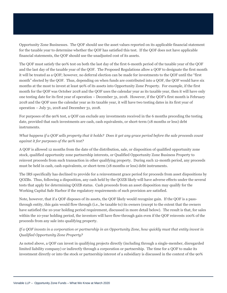Opportunity Zone Businesses. The QOF should use the asset values reported on its applicable financial statement for the taxable year to determine whether the QOF has satisfied this test. If the QOF does not have applicable financial statements, the QOF should use the unadjusted cost of its assets.

The QOF must satisfy the 90% test on both the last day of the first 6-month period of the taxable year of the QOF and the last day of the taxable year of the QOF. The Proposed Regulations allow a QOF to designate the first month it will be treated as a QOF; however, no deferral election can be made for investments to the QOF until the "first month" elected by the QOF. Thus, depending on when funds are contributed into a QOF, the QOF would have six months at the most to invest at least 90% of its assets into Opportunity Zone Property. For example, if the first month for the QOF was October 2018 and the QOF uses the calendar year as its taxable year, then it will have only one testing date for its first year of operation – December 31, 2018. However, if the QOF's first month is February 2018 and the QOF uses the calendar year as its taxable year, it will have two testing dates in its first year of operation – July 31, 2018 and December 31, 2018.

For purposes of the 90% test, a QOF can exclude any investments received in the 6 months preceding the testing date, provided that such investments are cash, cash equivalents, or short-term (18 months or less) debt instruments.

# *What happens if a QOF sells property that it holds? Does it get any grace period before the sale proceeds count against it for purposes of the 90% test?*

A QOF is allowed 12 months from the date of the distribution, sale, or disposition of qualified opportunity zone stock, qualified opportunity zone partnership interests, or Qualified Opportunity Zone Business Property to reinvest proceeds from such transaction in other qualifying property. During such 12-month period, any proceeds must be held in cash, cash equivalents, or short-term (18 months or less) debt instruments.

The IRS specifically has declined to provide for a reinvestment grace period for proceeds from asset dispositions by QOZBs. Thus, following a disposition, any cash held by the QOZB likely will have adverse effects under the several tests that apply for determining QOZB status. Cash proceeds from an asset disposition may qualify for the Working Capital Safe Harbor if the regulatory requirements of such provision are satisfied.

Note, however, that if a QOF disposes of its assets, the QOF likely would recognize gain. If the QOF is a passthrough entity, this gain would flow through (i.e., be taxable to) its owners (except to the extent that the owners have satisfied the 10-year holding period requirement, discussed in more detail below). The result is that, for sales within the 10-year holding period, the investors will have flow-through gain even if the QOF reinvests 100% of the proceeds from any sale into qualifying property.

# *If a QOF invests in a corporation or partnership in an Opportunity Zone, how quickly must that entity invest in Qualified Opportunity Zone Property?*

As noted above, a QOF can invest in qualifying projects directly (including through a single-member, disregarded limited liability company) or indirectly through a corporation or partnership. The time for a QOF to make its investment directly or into the stock or partnership interest of a subsidiary is discussed in the context of the 90%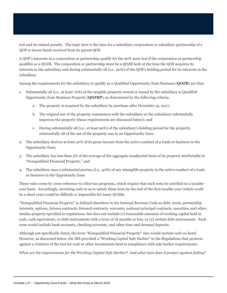test and its related penalty. The topic here is the time for a subsidiary corporation or subsidiary partnership of a QOF to invest funds received from its parent QOF.

A QOF's interests in a corporation or partnership qualify for the 90% asset test if the corporation or partnership qualifies as a QOZB. The corporation or partnership must be a QOZB both at the time the QOF acquires its interests in the subsidiary and during substantially all (i.e., 90%) of the QOF's holding period for its interests in the subsidiary.

Among the requirements for the subsidiary to qualify as a Qualified Opportunity Zone Business (**QOZB**) are that:

- 1. Substantially all (i.e., at least 70%) of the tangible property owned or leased by the subsidiary is Qualified Opportunity Zone Business Property (**QOZBP**), as determined by the following criteria:
	- a. The property is acquired by the subsidiary by purchase after December 31, 2017;
	- b. The original use of the property commences with the subsidiary or the subsidiary substantially improves the property (these requirements are discussed below); and
	- c. During substantially all (i.e., at least 90%) of the subsidiary's holding period for the property, substantially all of the use of the property was in an Opportunity Zone.
- 2. The subsidiary derives at least 50% of its gross income from the active conduct of a trade or business in the Opportunity Zone;
- 3. The subsidiary has less than 5% of the average of the aggregate unadjusted basis of its property attributable to "Nonqualified Financial Property," and
- 4. The subsidiary uses a substantial portion (i.e., 40%) of any intangible property in the active conduct of a trade or business in the Opportunity Zone.

These rules come by cross-reference to other tax programs, which require that such tests be satisfied on a taxableyear basis. Accordingly, investing cash so as to satisfy these tests by the end of the first taxable year (which could be a short year) could be difficult or impossible for many QOZBs.

"Nonqualified Financial Property" is defined elsewhere in the Internal Revenue Code as debt, stock, partnership interests, options, futures contracts, forward contracts, warrants, notional principal contracts, annuities, and other, similar property specified in regulations, but does not include (1) reasonable amounts of working capital held in cash, cash equivalents, or debt instruments with a term of 18 months or less, or (2) certain debt instruments. Such term would include bank accounts, checking accounts, and other time and demand deposits.

Although not specifically listed, the term "Nonqualified Financial Property" also would include cash on hand. However, as discussed below, the IRS provided a "Working Capital Safe Harbor" in the Regulations that protects against a violation of the test for cash or other investments held in compliance with safe harbor requirements.

*What are the requirements for the Working Capital Safe Harbor? And what tests does it protect against failing?*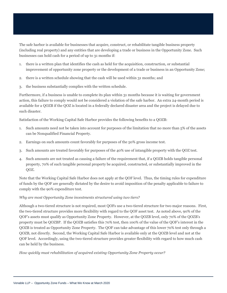The safe harbor is available for businesses that acquire, construct, or rehabilitate tangible business property (including real property) and any entities that are developing a trade or business in the Opportunity Zone. Such businesses can hold cash for a period of up to 31 months if:

- 1. there is a written plan that identifies the cash as held for the acquisition, construction, or substantial improvement of opportunity zone property or the development of a trade or business in an Opportunity Zone;
- 2. there is a written schedule showing that the cash will be used within 31 months; and
- 3. the business substantially complies with the written schedule.

Furthermore, if a business is unable to complete its plan within 31 months because it is waiting for government action, this failure to comply would not be considered a violation of the safe harbor. An extra 24-month period is available for a QOZB if the QOZ is located in a federally declared disaster area and the project is delayed due to such disaster.

Satisfaction of the Working Capital Safe Harbor provides the following benefits to a QOZB:

- 1. Such amounts need not be taken into account for purposes of the limitation that no more than 5% of the assets can be Nonqualified Financial Property.
- 2. Earnings on such amounts count favorably for purposes of the 50% gross income test.
- 3. Such amounts are treated favorably for purposes of the 40% use of intangible property with the QOZ test.
- 4. Such amounts are not treated as causing a failure of the requirement that, if a QOZB holds tangible personal property, 70% of such tangible personal property be acquired, constructed, or substantially improved in the QOZ.

Note that the Working Capital Safe Harbor does not apply at the QOF level. Thus, the timing rules for expenditure of funds by the QOF are generally dictated by the desire to avoid imposition of the penalty applicable to failure to comply with the 90% expenditure test.

# *Why are most Opportunity Zone investments structured using two tiers?*

Although a two-tiered structure is not required, most QOFs use a two-tiered structure for two major reasons. First, the two-tiered structure provides more flexibility with regard to the QOF asset test. As noted above, 90% of the QOF's assets must qualify as Opportunity Zone Property. However, at the QOZB level, only 70% of the QOZB's property must be QOZBP. If the QOZB satisfies this 70% test, then 100% of the value of the QOF's interest in the QOZB is treated as Opportunity Zone Property. The QOF can take advantage of this lower 70% test only through a QOZB, not directly. Second, the Working Capital Safe Harbor is available only at the QOZB level and not at the QOF level. Accordingly, using the two-tiered structure provides greater flexibility with regard to how much cash can be held by the business.

*How quickly must rehabilitation of acquired existing Opportunity Zone Property occur?*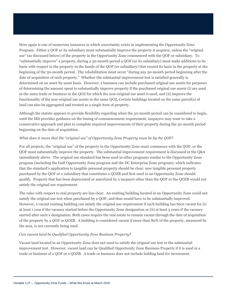Here again is one of numerous instances in which uncertainty exists in implementing the Opportunity Zone Program: Either a QOF or its subsidiary must substantially improve the property it acquires, unless the "original use" (as discussed below) of the property in the Opportunity Zone commenced with the QOF or subsidiary. To "substantially improve" a property, during a 30-month period a QOF (or its subsidiary) must make additions to its basis with respect to the property in the hands of the QOF (or subsidiary) that exceed its basis in the property at the beginning of the 30-month period. The rehabilitation must occur "during any 30-month period beginning after the date of acquisition of such property." Whether the substantial improvement test is satisfied generally is determined on an asset-by-asset basis. However, a business can include purchased original use assets for purposes of determining the amount spent to substantially improve property if the purchased original use assets (i) are used in the same trade or business in the QOZ for which the non-original use asset is used, and (ii) improve the functionality of the non-original use assets in the same QOZ. Certain buildings located on the same parcel(s) of land can also be aggregated and treated as a single item of property.

Although the statute appears to provide flexibility regarding when the 30-month period can be considered to begin, until the IRS provides guidance on the timing of commencement requirement, taxpayers may want to take a conservative approach and plan to complete required improvements of their property during the 30-month period beginning on the date of acquisition.

## *What does it mean that the "original use" of Opportunity Zone Property must be by the QOF?*

For all projects, the "original use" of the property in the Opportunity Zone must commence with the QOF, or the QOF must substantially improve the property. The substantial improvement requirement is discussed in the Q&A immediately above. The original use standard has been used in other programs similar to the Opportunity Zone program (including the Gulf Opportunity Zone program and the DC Enterprise Zone program), which indicates that the standard's application to tangible personal property should be clear: new tangible personal property purchased by the QOF or a subsidiary that constitutes a QOZB and first used in an Opportunity Zone should qualify. Property that has been depreciated or amortized by a taxpayer other than the QOF or the QOZB would not satisfy the original use requirement.

The rules with respect to real property are less clear. An existing building located in an Opportunity Zone could not satisfy the original use test when purchased by a QOF, and thus would have to be substantially improved. However, a vacant existing building can satisfy the original use requirement if such building has been vacant for (i) at least 1 year if the vacancy started before the Opportunity Zone designation or (ii) at least 3 years if the vacancy started after such a designation. Both cases require the real estate to remain vacant through the date of acquisition of the property by a QOF or QOZB. A building is considered vacant if more than 80% of the property, measured by the area, is not currently being used.

## *Can vacant land be Qualified Opportunity Zone Business Property?*

Vacant land located in an Opportunity Zone does not need to satisfy the original use test or the substantial improvement test. However, vacant land can be Qualified Opportunity Zone Business Property if it is used in a trade or business of a QOF or a QOZB. A trade or business does not include holding land for investment.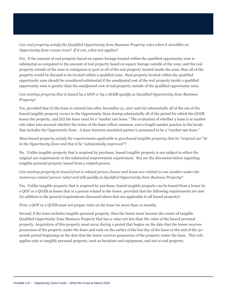*Can real property satisfy the Qualified Opportunity Zone Business Property rules when it straddles an Opportunity Zone census tract? If it can, what test applies?* 

Yes. If the amount of real property based on square footage located within the qualified opportunity zone is substantial as compared to the amount of real property based on square footage outside of the zone, and the real property outside of the zone is contiguous to part or all of the real property located inside the zone, then all of the property would be deemed to be located within a qualified zone. Real property located within the qualified opportunity zone should be considered substantial if the unadjusted cost of the real property inside a qualified opportunity zone is greater than the unadjusted cost of real property outside of the qualified opportunity zone.

# *Can existing property that is leased by a QOF or by a QOZB qualify as Qualified Opportunity Zone Business Property?*

Yes, provided that (i) the lease is entered into after December 31, 2017 and (ii) substantially all of the use of the leased tangible property occurs in the Opportunity Zone during substantially all of the period for which the QOZB leases the property, and (iii) the lease must be a "market rate lease." The evaluation of whether a lease is at market rate takes into account whether the terms of the lease reflect common, arm's-length market practice in the locale that includes the Opportunity Zone. A lease between unrelated parties is presumed to be a "market rate lease."

# *Must leased property satisfy the requirements applicable to purchased tangible property that its "original use" be in the Opportunity Zone and that it be "substantially improved"?*

No. Unlike tangible property that is acquired by purchase, leased tangible property is not subject to either the original use requirement or the substantial improvement requirement. But see the discussion below regarding tangible personal property leased from a related person.

# *Can existing property be leased from a related person (lessor and lessee are related to one another under the numerous related person rules) and still qualify as Qualified Opportunity Zone Business Property?*

Yes. Unlike tangible property that is acquired by purchase, leased tangible property can be leased from a lessor by a QOF or a QOZB as lessee that is a person related to the lessor, provided that the following requirements are met (in addition to the general requirements discussed above that are applicable to all leased property):

First, a QOF or a QOZB must not prepay rents on the lease for more than 12 months.

Second, if the lease includes tangible personal property, then the lessee must become the owner of tangible Qualified Opportunity Zone Business Property that has a value not less than the value of the leased personal property. Acquisition of this property must occur during a period that begins on the date that the lessee receives possession of the property under the lease and ends on the earlier of the last day of the lease or the end of the 30 month period beginning on the date that the lessee receives possession of the property under the lease. This rule applies only to tangible personal property, such as furniture and equipment, and not to real property.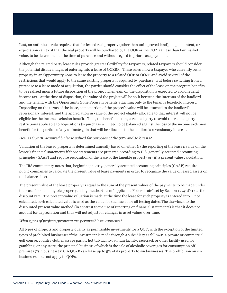Last, an anti-abuse rule requires that for leased real property (other than unimproved land), no plan, intent, or expectation can exist that the real property will be purchased by the QOF or the QOZB at less than fair market value, to be determined at the time of purchase and without regard to prior lease payments.

Although the related party lease rules provide greater flexibility for taxpayers, related taxpayers should consider the potential disadvantages of entering into a lease of QOZBP. These rules allow a taxpayer who currently owns property in an Opportunity Zone to lease the property to a related QOF or QOZB and avoid several of the restrictions that would apply to the same existing property if acquired by purchase. But before switching from a purchase to a lease mode of acquisition, the parties should consider the effect of the lease on the program benefits to be realized upon a future disposition of the project when gain on the disposition is expected to avoid federal income tax. At the time of disposition, the value of the project will be split between the interests of the landlord and the tenant, with the Opportunity Zone Program benefits attaching only to the tenant's leasehold interest. Depending on the terms of the lease, some portion of the project's value will be attached to the landlord's reversionary interest, and the appreciation in value of the project eligibly allocable to that interest will not be eligible for the income exclusion benefit. Thus, the benefit of using a related party to avoid the related party restrictions applicable to acquisitions by purchase will need to be balanced against the loss of the income exclusion benefit for the portion of any ultimate gain that will be allocable to the landlord's reversionary interest.

## *How is QOZBP acquired by lease valued for purposes of the 90% and 70% tests?*

Valuation of the leased property is determined annually based on either (i) the reporting of the lease's value on the lessee's financial statements if those statements are prepared according to U.S. generally accepted accounting principles (GAAP) and require recognition of the lease of the tangible property or (ii) a present value calculation.

The IRS commentary notes that, beginning in 2019, generally accepted accounting principles (GAAP) require public companies to calculate the present value of lease payments in order to recognize the value of leased assets on the balance sheet.

The present value of the lease property is equal to the sum of the present values of the payments to be made under the lease for such tangible property, using the short-term "applicable Federal rate" set by Section  $1274(d)(1)$  as the discount rate. The present-value valuation is made at the time the lease for such property is entered into. Once calculated, such calculated value is used as the value for such asset for all testing dates. The drawback to the discounted present value method (in contrast to the use of reporting on financial statements) is that it does not account for depreciation and thus will not adjust for changes in asset values over time.

## *What types of projects/property are permissible investments?*

All types of projects and property qualify as permissible investments for a QOF, with the exception of the limited types of prohibited businesses if the investment is made through a subsidiary as follows: a private or commercial golf course, country club, massage parlor, hot tub facility, suntan facility, racetrack or other facility used for gambling, or any store, the principal business of which is the sale of alcoholic beverages for consumption off premises ("sin businesses"). A QOZB can lease up to 5% of its property to sin businesses. The prohibition on sin businesses does not apply to QOFs.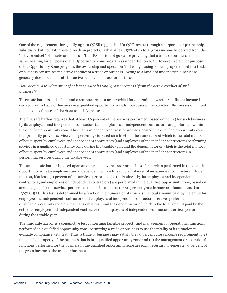One of the requirements for qualifying as a QOZB (applicable if a QOF invests through a corporate or partnership subsidiary, but not if it invests directly in projects) is that at least 50% of its total gross income be derived from the "active conduct" of a trade or business. The IRS has issued guidance providing that a trade or business has the same meaning for purposes of the Opportunity Zone program as under Section 162. However, solely for purposes of the Opportunity Zone program, the ownership and operation (including leasing) of real property used in a trade or business constitutes the active conduct of a trade or business. Acting as a landlord under a triple-net lease generally does not constitute the active conduct of a trade or business.

# *How does a QOZB determine if at least 50% of its total gross income is "from the active conduct of such business"?*

Three safe harbors and a facts and circumstances test are provided for determining whether sufficient income is derived from a trade or business in a qualified opportunity zone for purposes of the 50% test. Businesses only need to meet one of these safe harbors to satisfy that test.

The first safe harbor requires that at least 50 percent of the services performed (based on hours) for such business by its employees and independent contractors (and employees of independent contractors) are performed within the qualified opportunity zone. This test is intended to address businesses located in a qualified opportunity zone that primarily provide services. The percentage is based on a fraction, the numerator of which is the total number of hours spent by employees and independent contractors (and employees of independent contractors) performing services in a qualified opportunity zone during the taxable year, and the denominator of which is the total number of hours spent by employees and independent contractors (and employees of independent contractors) in performing services during the taxable year.

The second safe harbor is based upon amounts paid by the trade or business for services performed in the qualified opportunity zone by employees and independent contractors (and employees of independent contractors). Under this test, if at least 50 percent of the services performed for the business by its employees and independent contractors (and employees of independent contractors) are performed in the qualified opportunity zone, based on amounts paid for the services performed, the business meets the 50 percent gross income test found in section 1397C(b)(2). This test is determined by a fraction, the numerator of which is the total amount paid by the entity for employee and independent contractor (and employees of independent contractors) services performed in a qualified opportunity zone during the taxable year, and the denominator of which is the total amount paid by the entity for employee and independent contractor (and employees of independent contractors) services performed during the taxable year.

The third safe harbor is a conjunctive test concerning tangible property and management or operational functions performed in a qualified opportunity zone, permitting a trade or business to use the totality of its situation to evaluate compliance with test. Thus, a trade or business may satisfy the 50 percent gross income requirement if (1) the tangible property of the business that is in a qualified opportunity zone and (2) the management or operational functions performed for the business in the qualified opportunity zone are each necessary to generate 50 percent of the gross income of the trade or business.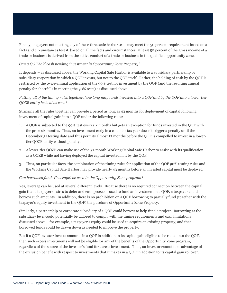Finally, taxpayers not meeting any of these three safe harbor tests may meet the 50 percent requirement based on a facts and circumstances test if, based on all the facts and circumstances, at least 50 percent of the gross income of a trade or business is derived from the active conduct of a trade or business in the qualified opportunity zone.

## *Can a QOF hold cash pending investment in Opportunity Zone Property?*

It depends – as discussed above, the Working Capital Safe Harbor is available to a subsidiary partnership or subsidiary corporation in which a QOF invests, but not to the QOF itself. Rather, the holding of cash by the QOF is restricted by the twice-annual application of the 90% test for investment by the QOF (and the resulting annual penalty for shortfalls in meeting the 90% tests) as discussed above.

# *Putting all of the timing rules together, how long may funds invested into a QOF and by the QOF into a lower tier QOZB entity be held as cash?*

Stringing all the rules together can provide a period as long as 43 months for deployment of capital following investment of capital gain into a QOF under the following rules:

- 1. A QOF is subjected to the 90% test every six months but gets an exception for funds invested in the QOF with the prior six months. Thus, an investment early in a calendar tax year doesn't trigger a penalty until the December 31 testing date and thus permits almost 12 months before the QOF is compelled to invest in a lowertier QOZB entity without penalty.
- 2. A lower-tier QOZB can make use of the 31-month Working Capital Safe Harbor to assist with its qualification as a QOZB while not having deployed the capital invested in it by the QOF.
- 3. Thus, on particular facts, the combination of the timing rules for application of the QOF 90% testing rules and the Working Capital Safe Harbor may provide nearly 43 months before all invested capital must be deployed.

## *Can borrowed funds (leverage) be used in the Opportunity Zone program?*

Yes, leverage can be used at several different levels. Because there is no required connection between the capital gain that a taxpayer desires to defer and cash proceeds used to fund an investment in a QOF, a taxpayer could borrow such amounts. In addition, there is no prohibition on a QOF borrowing to partially fund (together with the taxpayer's equity investment in the QOF) the purchase of Opportunity Zone Property.

Similarly, a partnership or corporate subsidiary of a QOF could borrow to help fund a project. Borrowing at the subsidiary level could potentially be tailored to comply with the timing requirements and cash limitations discussed above – for example, a taxpayer's equity could be used to acquire an existing property, and then borrowed funds could be drawn down as needed to improve the property.

But if a QOF investor invests amounts in a QOF in addition to its capital gain eligible to be rolled into the QOF, then such excess investments will not be eligible for any of the benefits of the Opportunity Zone program, regardless of the source of the investor's fund for excess investment. Thus, an investor cannot take advantage of the exclusion benefit with respect to investments that it makes in a QOF in addition to its capital gain rollover.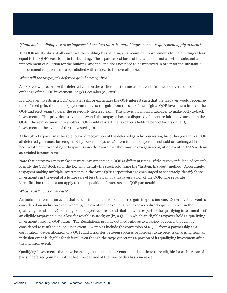# *If land and a building are to be improved, how does the substantial improvement requirement apply to them?*

The QOF must substantially improve the building by spending an amount on improvements to the building at least equal to the QOF's cost basis in the building. The separate cost basis of the land does not affect the substantial improvement calculation for the building, and the land does not need to be improved in order for the substantial improvement requirement to be satisfied with respect to the overall project.

# *When will the taxpayer's deferred gain be recognized?*

A taxpayer will recognize the deferred gain on the earlier of (1) an inclusion event; (2) the taxpayer's sale or exchange of the QOF investment; or (3) December 31, 2026.

If a taxpayer invests in a QOF and later sells or exchanges the QOF interest such that the taxpayer would recognize the deferred gain, then the taxpayer can reinvest the gain from the sale of the original QOF investment into another QOF and elect again to defer the previously deferred gain. This provision allows a taxpayer to make back-to-back investments. This provision is available even if the taxpayer has not disposed of its entire initial investment in the QOF. The reinvestment into another QOF would re-start the taxpayer's holding period for his or her QOF investment to the extent of the reinvested gain.

Although a taxpayer may be able to avoid recognition of the deferred gain by reinvesting his or her gain into a QOF, all deferred gain must be recognized by December 31, 2026, even if the taxpayer has not sold or exchanged his or her investment. Accordingly, taxpayers must be aware that they may have a gain recognition event in 2026 with no associated income or cash.

Note that a taxpayer may make separate investments in a QOF at different times. If the taxpayer fails to adequately identify the QOF stock sold, the IRS will identify the stock sold using the "first-in, first-out" method. Accordingly, taxpayers making multiple investments in the same QOF corporation are encouraged to separately identify these investments in the event of a future sale of less than all of a taxpayer's stock of the QOF. The separate identification rule does not apply to the disposition of interests in a QOF partnership.

# *What is an "inclusion event"?*

An inclusion event is an event that results in the inclusion of deferred gain in gross income. Generally, the event is considered an inclusion event where (i) the event reduces an eligible taxpayer's direct equity interest in the qualifying investment; (ii) an eligible taxpayer receives a distribution with respect to the qualifying investment; (iii) an eligible taxpayer claims a loss for worthless stock; or (iv) a QOF in which an eligible taxpayer holds a qualifying investment loses its QOF status. The Regulations provide detailed rules as to a variety of events that will be considered to result in an inclusion event. Examples include the conversion of a QOF from a partnership to a corporation, de-certification of a QOF, and a transfer between spouses or incident to divorce. Gain arising from an inclusion event is eligible for deferral even though the taxpayer retains a portion of its qualifying investment after the inclusion event.

Qualifying investments that have been subject to inclusion events should continue to be eligible for an increase of basis if deferred gain has not yet been recognized at the time of this basis increase.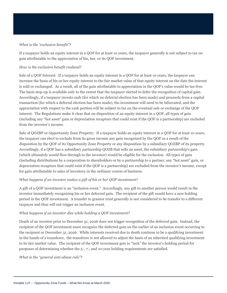## *What is the "exclusion benefit"?*

If a taxpayer holds an equity interest in a QOF for at least 10 years, the taxpayer generally is not subject to tax on gain attributable to the appreciation of his, her, or its QOF investment.

## *How is the exclusion benefit realized?*

Sale of a QOF Interest: If a taxpayer holds an equity interest in a QOF for at least 10 years, the taxpayer can increase the basis of his or her equity interest to the fair market value of that equity interest on the date the interest is sold or exchanged. As a result, all of the gain attributable to appreciation in the QOF's value would be tax-free. The basis step-up is available only to the extent that the taxpayer elected to defer the recognition of capital gain. Accordingly, if a taxpayer invests cash (for which no deferral election has been made) and proceeds from a capital transaction (for which a deferral election has been made), the investment will need to be bifurcated, and the appreciation with respect to the cash portion will be subject to tax on the eventual sale or exchange of the QOF interest. The Regulations make it clear that on disposition of an equity interest in a QOF, all types of gain (including any "hot asset" gain or depreciation recapture that could exist if the QOF is a partnership) are excluded from the investor's income.

Sale of QOZBP or Opportunity Zone Property: If a taxpayer holds an equity interest in a QOF for at least 10 years, the taxpayer can elect to exclude from its gross income any gain recognized by the QOF as a result of the disposition by the QOF of its Opportunity Zone Property or any disposition by a subsidiary QOZBP of its property. Accordingly, if a QOF has a subsidiary partnership QOZB that sells an asset, the subsidiary partnership's gain (which ultimately would flow through to the investor) would be eligible for the exclusion. All types of gain (including distributions by a corporation to shareholders or by a partnership to a partner, any "hot asset" gain, or depreciation recapture that could exist if the QOF is a partnership) are excluded from the investor's income, except for gain attributable to sales of inventory in the ordinary course of business.

## *What happens if an investor makes a gift of his or her QOF investment?*

A gift of a QOF investment is an "inclusion event." Accordingly, any gift to another person would result in the investor immediately recognizing his or her deferred gain. The recipient of the gift would have a new holding period in the QOF investment. A transfer to grantor trust generally is not considered to be transfer to a different taxpayer and thus will not trigger an inclusion event.

# *What happens if an investor dies while holding a QOF investment?*

Death of an investor prior to December 31, 2026 does not trigger recognition of the deferred gain. Instead, the recipient of the QOF investment must recognize the deferred gain on the earlier of an inclusion event occurring to the recipient or December 31, 2026. While interests received due to death continue to be a qualifying investment in the hands of a transferee, the transferee is not allowed to adjust the basis of an inherited qualifying investment to its fair market value. The recipient of the QOF investment gets to "tack" the investor's holding period for purposes of determining whether the 5-, 7-, and 10-year holding requirements are satisfied.

*What is the "general anti-abuse rule"?*